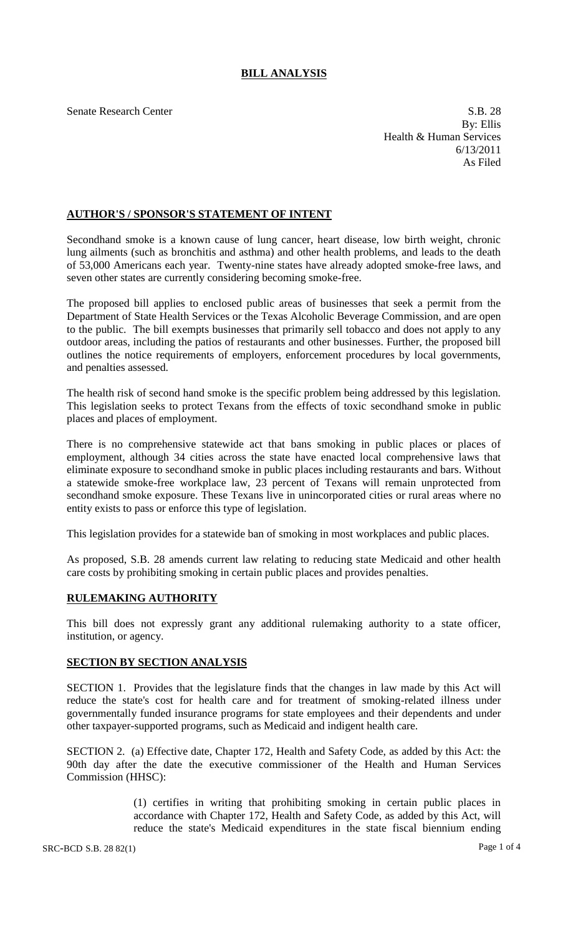# **BILL ANALYSIS**

Senate Research Center S.B. 28 By: Ellis Health & Human Services 6/13/2011 As Filed

## **AUTHOR'S / SPONSOR'S STATEMENT OF INTENT**

Secondhand smoke is a known cause of lung cancer, heart disease, low birth weight, chronic lung ailments (such as bronchitis and asthma) and other health problems, and leads to the death of 53,000 Americans each year. Twenty-nine states have already adopted smoke-free laws, and seven other states are currently considering becoming smoke-free.

The proposed bill applies to enclosed public areas of businesses that seek a permit from the Department of State Health Services or the Texas Alcoholic Beverage Commission, and are open to the public. The bill exempts businesses that primarily sell tobacco and does not apply to any outdoor areas, including the patios of restaurants and other businesses. Further, the proposed bill outlines the notice requirements of employers, enforcement procedures by local governments, and penalties assessed.

The health risk of second hand smoke is the specific problem being addressed by this legislation. This legislation seeks to protect Texans from the effects of toxic secondhand smoke in public places and places of employment.

There is no comprehensive statewide act that bans smoking in public places or places of employment, although 34 cities across the state have enacted local comprehensive laws that eliminate exposure to secondhand smoke in public places including restaurants and bars. Without a statewide smoke-free workplace law, 23 percent of Texans will remain unprotected from secondhand smoke exposure. These Texans live in unincorporated cities or rural areas where no entity exists to pass or enforce this type of legislation.

This legislation provides for a statewide ban of smoking in most workplaces and public places.

As proposed, S.B. 28 amends current law relating to reducing state Medicaid and other health care costs by prohibiting smoking in certain public places and provides penalties.

## **RULEMAKING AUTHORITY**

This bill does not expressly grant any additional rulemaking authority to a state officer, institution, or agency.

## **SECTION BY SECTION ANALYSIS**

SECTION 1. Provides that the legislature finds that the changes in law made by this Act will reduce the state's cost for health care and for treatment of smoking-related illness under governmentally funded insurance programs for state employees and their dependents and under other taxpayer-supported programs, such as Medicaid and indigent health care.

SECTION 2. (a) Effective date, Chapter 172, Health and Safety Code, as added by this Act: the 90th day after the date the executive commissioner of the Health and Human Services Commission (HHSC):

> (1) certifies in writing that prohibiting smoking in certain public places in accordance with Chapter 172, Health and Safety Code, as added by this Act, will reduce the state's Medicaid expenditures in the state fiscal biennium ending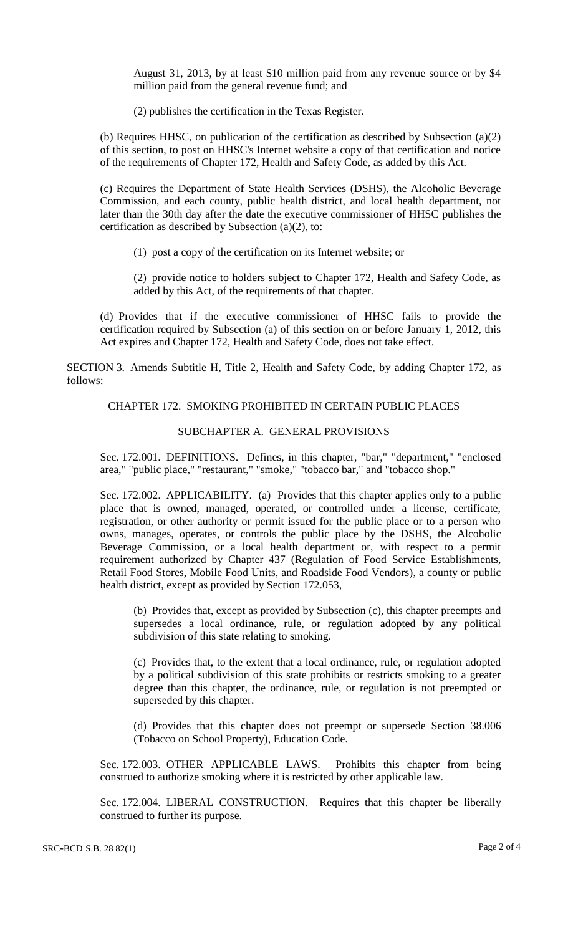August 31, 2013, by at least \$10 million paid from any revenue source or by \$4 million paid from the general revenue fund; and

(2) publishes the certification in the Texas Register.

(b) Requires HHSC, on publication of the certification as described by Subsection (a)(2) of this section, to post on HHSC's Internet website a copy of that certification and notice of the requirements of Chapter 172, Health and Safety Code, as added by this Act.

(c) Requires the Department of State Health Services (DSHS), the Alcoholic Beverage Commission, and each county, public health district, and local health department, not later than the 30th day after the date the executive commissioner of HHSC publishes the certification as described by Subsection (a)(2), to:

(1) post a copy of the certification on its Internet website; or

(2) provide notice to holders subject to Chapter 172, Health and Safety Code, as added by this Act, of the requirements of that chapter.

(d) Provides that if the executive commissioner of HHSC fails to provide the certification required by Subsection (a) of this section on or before January 1, 2012, this Act expires and Chapter 172, Health and Safety Code, does not take effect.

SECTION 3. Amends Subtitle H, Title 2, Health and Safety Code, by adding Chapter 172, as follows:

# CHAPTER 172. SMOKING PROHIBITED IN CERTAIN PUBLIC PLACES

# SUBCHAPTER A. GENERAL PROVISIONS

Sec. 172.001. DEFINITIONS. Defines, in this chapter, "bar," "department," "enclosed area," "public place," "restaurant," "smoke," "tobacco bar," and "tobacco shop."

Sec. 172.002. APPLICABILITY. (a) Provides that this chapter applies only to a public place that is owned, managed, operated, or controlled under a license, certificate, registration, or other authority or permit issued for the public place or to a person who owns, manages, operates, or controls the public place by the DSHS, the Alcoholic Beverage Commission, or a local health department or, with respect to a permit requirement authorized by Chapter 437 (Regulation of Food Service Establishments, Retail Food Stores, Mobile Food Units, and Roadside Food Vendors), a county or public health district, except as provided by Section 172.053,

(b) Provides that, except as provided by Subsection (c), this chapter preempts and supersedes a local ordinance, rule, or regulation adopted by any political subdivision of this state relating to smoking.

(c) Provides that, to the extent that a local ordinance, rule, or regulation adopted by a political subdivision of this state prohibits or restricts smoking to a greater degree than this chapter, the ordinance, rule, or regulation is not preempted or superseded by this chapter.

(d) Provides that this chapter does not preempt or supersede Section 38.006 (Tobacco on School Property), Education Code.

Sec. 172.003. OTHER APPLICABLE LAWS. Prohibits this chapter from being construed to authorize smoking where it is restricted by other applicable law.

Sec. 172.004. LIBERAL CONSTRUCTION. Requires that this chapter be liberally construed to further its purpose.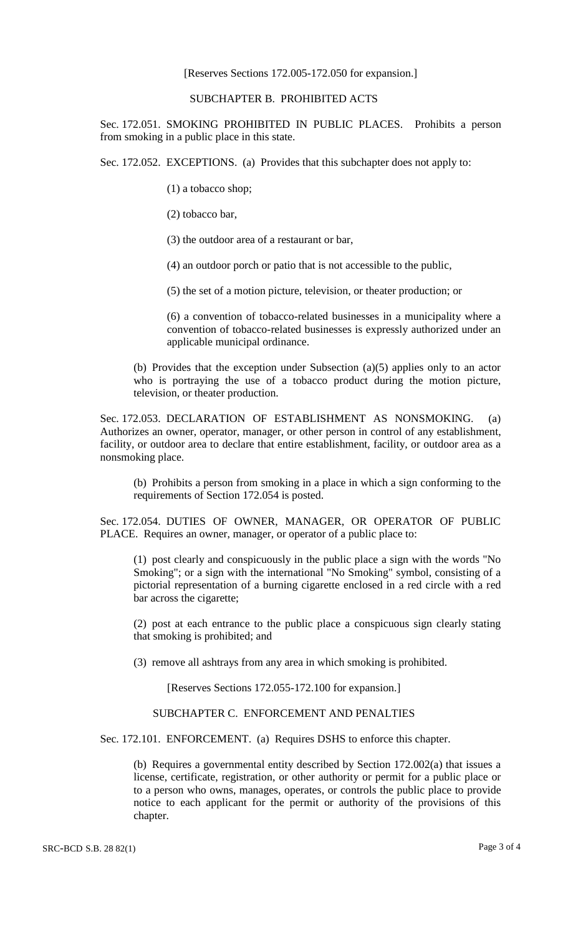#### [Reserves Sections 172.005-172.050 for expansion.]

#### SUBCHAPTER B. PROHIBITED ACTS

Sec. 172.051. SMOKING PROHIBITED IN PUBLIC PLACES. Prohibits a person from smoking in a public place in this state.

Sec. 172.052. EXCEPTIONS. (a) Provides that this subchapter does not apply to:

(1) a tobacco shop;

(2) tobacco bar,

(3) the outdoor area of a restaurant or bar,

(4) an outdoor porch or patio that is not accessible to the public,

(5) the set of a motion picture, television, or theater production; or

(6) a convention of tobacco-related businesses in a municipality where a convention of tobacco-related businesses is expressly authorized under an applicable municipal ordinance.

(b) Provides that the exception under Subsection (a)(5) applies only to an actor who is portraying the use of a tobacco product during the motion picture, television, or theater production.

Sec. 172.053. DECLARATION OF ESTABLISHMENT AS NONSMOKING. (a) Authorizes an owner, operator, manager, or other person in control of any establishment, facility, or outdoor area to declare that entire establishment, facility, or outdoor area as a nonsmoking place.

(b) Prohibits a person from smoking in a place in which a sign conforming to the requirements of Section 172.054 is posted.

Sec. 172.054. DUTIES OF OWNER, MANAGER, OR OPERATOR OF PUBLIC PLACE. Requires an owner, manager, or operator of a public place to:

(1) post clearly and conspicuously in the public place a sign with the words "No Smoking"; or a sign with the international "No Smoking" symbol, consisting of a pictorial representation of a burning cigarette enclosed in a red circle with a red bar across the cigarette;

(2) post at each entrance to the public place a conspicuous sign clearly stating that smoking is prohibited; and

(3) remove all ashtrays from any area in which smoking is prohibited.

[Reserves Sections 172.055-172.100 for expansion.]

SUBCHAPTER C. ENFORCEMENT AND PENALTIES

Sec. 172.101. ENFORCEMENT. (a) Requires DSHS to enforce this chapter.

(b) Requires a governmental entity described by Section 172.002(a) that issues a license, certificate, registration, or other authority or permit for a public place or to a person who owns, manages, operates, or controls the public place to provide notice to each applicant for the permit or authority of the provisions of this chapter.